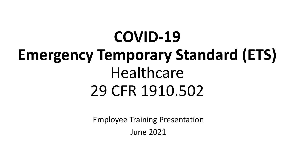# **COVID-19 Emergency Temporary Standard (ETS)**  Healthcare 29 CFR 1910.502

Employee Training Presentation June 2021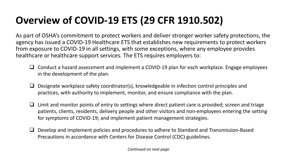# **Overview of COVID-19 ETS (29 CFR 1910.502)**

As part of OSHA's commitment to protect workers and deliver stronger worker safety protections, the agency has issued a COVID-19 Healthcare ETS that establishes new requirements to protect workers from exposure to COVID-19 in all settings, with some exceptions, where any employee provides healthcare or healthcare support services. The ETS requires employers to:

- $\Box$  Conduct a hazard assessment and implement a COVID-19 plan for each workplace. Engage employees in the development of the plan.
- $\Box$  Designate workplace safety coordinator(s), knowledgeable in infection control principles and practices, with authority to implement, monitor, and ensure compliance with the plan.
- $\Box$  Limit and monitor points of entry to settings where direct patient care is provided; screen and triage patients, clients, residents, delivery people and other visitors and non-employees entering the setting for symptoms of COVID-19; and implement patient management strategies.
- $\Box$  Develop and implement policies and procedures to adhere to Standard and Transmission-Based Precautions in accordance with Centers for Disease Control (CDC) guidelines.

*Continued on next page*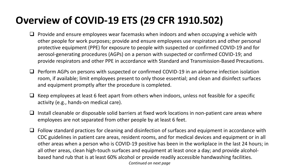# **Overview of COVID-19 ETS (29 CFR 1910.502)**

- $\Box$  Provide and ensure employees wear facemasks when indoors and when occupying a vehicle with other people for work purposes; provide and ensure employees use respirators and other personal protective equipment (PPE) for exposure to people with suspected or confirmed COVID-19 and for aerosol-generating procedures (AGPs) on a person with suspected or confirmed COVID-19; and provide respirators and other PPE in accordance with Standard and Transmission-Based Precautions.
- $\Box$  Perform AGPs on persons with suspected or confirmed COVID-19 in an airborne infection isolation room, if available; limit employees present to only those essential; and clean and disinfect surfaces and equipment promptly after the procedure is completed.
- $\Box$  Keep employees at least 6 feet apart from others when indoors, unless not feasible for a specific activity (e.g., hands-on medical care).
- $\Box$  Install cleanable or disposable solid barriers at fixed work locations in non-patient care areas where employees are not separated from other people by at least 6 feet.
- $\Box$  Follow standard practices for cleaning and disinfection of surfaces and equipment in accordance with CDC guidelines in patient care areas, resident rooms, and for medical devices and equipment or in all other areas when a person who is COVID-19 positive has been in the workplace in the last 24 hours; in all other areas, clean high-touch surfaces and equipment at least once a day; and provide alcoholbased hand rub that is at least 60% alcohol or provide readily accessible handwashing facilities. *Continued on next page*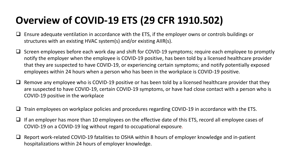# **Overview of COVID-19 ETS (29 CFR 1910.502)**

- $\Box$  Ensure adequate ventilation in accordance with the ETS, if the employer owns or controls buildings or structures with an existing HVAC system(s) and/or existing AIIR(s).
- $\square$  Screen employees before each work day and shift for COVID-19 symptoms; require each employee to promptly notify the employer when the employee is COVID-19 positive, has been told by a licensed healthcare provider that they are suspected to have COVID-19, or experiencing certain symptoms; and notify potentially exposed employees within 24 hours when a person who has been in the workplace is COVID-19 positive.
- Remove any employee who is COVID-19 positive or has been told by a licensed healthcare provider that they are suspected to have COVID-19, certain COVID-19 symptoms, or have had close contact with a person who is COVID-19 positive in the workplace
- Train employees on workplace policies and procedures regarding COVID-19 in accordance with the ETS.
- $\Box$  If an employer has more than 10 employees on the effective date of this ETS, record all employee cases of COVID-19 on a COVID-19 log without regard to occupational exposure.
- Report work-related COVID-19 fatalities to OSHA within 8 hours of employer knowledge and in-patient hospitalizations within 24 hours of employer knowledge.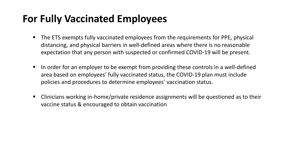### **For Fully Vaccinated Employees**

- The ETS exempts fully vaccinated employees from the requirements for PPE, physical distancing, and physical barriers in well-defined areas where there is no reasonable expectation that any person with suspected or confirmed COVID-19 will be present.
- $\blacksquare$  In order for an employer to be exempt from providing these controls in a well-defined area based on employees' fully vaccinated status, the COVID-19 plan must include policies and procedures to determine employees' vaccination status.
- Clinicians working in-home/private residence assignments will be questioned as to their vaccine status & encouraged to obtain vaccination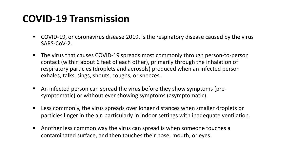#### **COVID-19 Transmission**

- COVID-19, or coronavirus disease 2019, is the respiratory disease caused by the virus SARS-CoV-2.
- The virus that causes COVID-19 spreads most commonly through person-to-person contact (within about 6 feet of each other), primarily through the inhalation of respiratory particles (droplets and aerosols) produced when an infected person exhales, talks, sings, shouts, coughs, or sneezes.
- An infected person can spread the virus before they show symptoms (presymptomatic) or without ever showing symptoms (asymptomatic).
- Less commonly, the virus spreads over longer distances when smaller droplets or particles linger in the air, particularly in indoor settings with inadequate ventilation.
- Another less common way the virus can spread is when someone touches a contaminated surface, and then touches their nose, mouth, or eyes.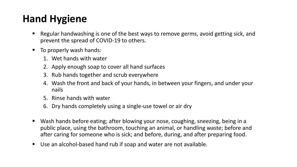# **Hand Hygiene**

- Regular handwashing is one of the best ways to remove germs, avoid getting sick, and prevent the spread of COVID-19 to others.
- To properly wash hands:
	- 1. Wet hands with water
	- 2. Apply enough soap to cover all hand surfaces
	- 3. Rub hands together and scrub everywhere
	- 4. Wash the front and back of your hands, in between your fingers, and under your nails
	- 5. Rinse hands with water
	- 6. Dry hands completely using a single-use towel or air dry
- Wash hands before eating; after blowing your nose, coughing, sneezing, being in a public place, using the bathroom, touching an animal, or handling waste; before and after caring for someone who is sick; and before, during, and after preparing food.
- Use an alcohol-based hand rub if soap and water are not available.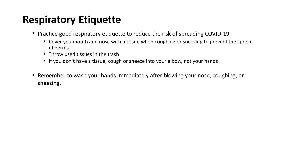### **Respiratory Etiquette**

- Practice good respiratory etiquette to reduce the risk of spreading COVID-19:
	- Cover you mouth and nose with a tissue when coughing or sneezing to prevent the spread of germs
	- Throw used tissues in the trash
	- If you don't have a tissue, cough or sneeze into your elbow, not your hands
- Remember to wash your hands immediately after blowing your nose, coughing, or sneezing.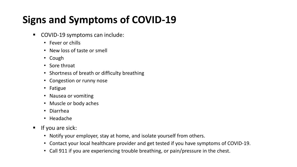# **Signs and Symptoms of COVID-19**

- COVID-19 symptoms can include:
	- Fever or chills
	- New loss of taste or smell
	- Cough
	- Sore throat
	- Shortness of breath or difficulty breathing
	- Congestion or runny nose
	- Fatigue
	- Nausea or vomiting
	- Muscle or body aches
	- Diarrhea
	- Headache
- $\blacksquare$  If you are sick:
	- Notify your employer, stay at home, and isolate yourself from others.
	- Contact your local healthcare provider and get tested if you have symptoms of COVID-19.
	- Call 911 if you are experiencing trouble breathing, or pain/pressure in the chest.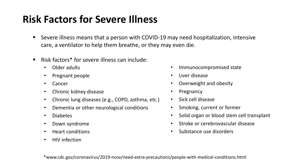# **Risk Factors for Severe Illness**

- Severe illness means that a person with COVID-19 may need hospitalization, intensive care, a ventilator to help them breathe, or they may even die.
- Risk factors\* for severe illness can include:
	- Older adults
	- Pregnant people
	- Cancer
	- Chronic kidney disease
	- Chronic lung diseases (e.g., COPD, asthma, etc.)
	- Dementia or other neurological conditions
	- Diabetes
	- Down syndrome
	- Heart conditions
	- HIV infection
- Immunocompromised state
- Liver disease
- Overweight and obesity
- **Pregnancy**
- Sick cell disease
- Smoking, current or former
- Solid organ or blood stem cell transplant
- Stroke or cerebrovascular disease
- Substance use disorders

\*www.cdc.gov/coronavirus/2019-ncov/need-extra-precautions/people-with-medical-conditions.html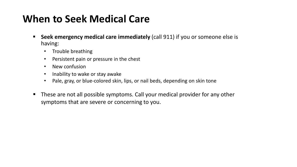# **When to Seek Medical Care**

- **Seek emergency medical care immediately** (call 911) if you or someone else is having:
	- Trouble breathing
	- Persistent pain or pressure in the chest
	- New confusion
	- Inability to wake or stay awake
	- Pale, gray, or blue-colored skin, lips, or nail beds, depending on skin tone
- These are not all possible symptoms. Call your medical provider for any other symptoms that are severe or concerning to you.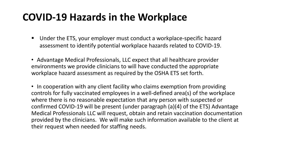#### **COVID-19 Hazards in the Workplace**

- Under the ETS, your employer must conduct a workplace-specific hazard assessment to identify potential workplace hazards related to COVID-19.
- Advantage Medical Professionals, LLC expect that all healthcare provider environments we provide clinicians to will have conducted the appropriate workplace hazard assessment as required by the OSHA ETS set forth.

• In cooperation with any client facility who claims exemption from providing controls for fully vaccinated employees in a well-defined area(s) of the workplace where there is no reasonable expectation that any person with suspected or confirmed COVID-19 will be present (under paragraph (a)(4) of the ETS) Advantage Medical Professionals LLC will request, obtain and retain vaccination documentation provided by the clinicians. We will make such information available to the client at their request when needed for staffing needs.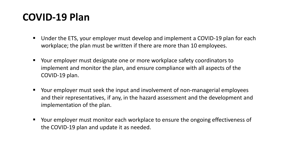#### **COVID-19 Plan**

- Under the ETS, your employer must develop and implement a COVID-19 plan for each workplace; the plan must be written if there are more than 10 employees.
- Your employer must designate one or more workplace safety coordinators to implement and monitor the plan, and ensure compliance with all aspects of the COVID-19 plan.
- Your employer must seek the input and involvement of non-managerial employees and their representatives, if any, in the hazard assessment and the development and implementation of the plan.
- Your employer must monitor each workplace to ensure the ongoing effectiveness of the COVID-19 plan and update it as needed.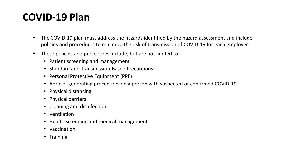#### **COVID-19 Plan**

- The COVID-19 plan must address the hazards identified by the hazard assessment and include policies and procedures to minimize the risk of transmission of COVID-19 for each employee.
- These policies and procedures include, but are not limited to:
	- Patient screening and management
	- Standard and Transmission-Based Precautions
	- Personal Protective Equipment (PPE)
	- Aerosol-generating procedures on a person with suspected or confirmed COVID-19
	- Physical distancing
	- Physical barriers
	- Cleaning and disinfection
	- Ventilation
	- Health screening and medical management
	- Vaccination
	- Training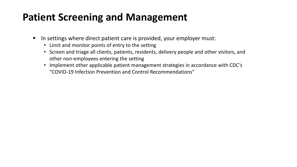#### **Patient Screening and Management**

- In settings where direct patient care is provided, your employer must:
	- Limit and monitor points of entry to the setting
	- Screen and triage all clients, patients, residents, delivery people and other visitors, and other non-employees entering the setting
	- Implement other applicable patient management strategies in accordance with CDC's "COVID-19 Infection Prevention and Control Recommendations"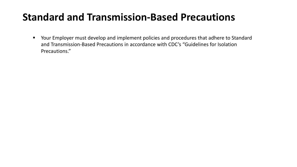### **Standard and Transmission-Based Precautions**

 Your Employer must develop and implement policies and procedures that adhere to Standard and Transmission-Based Precautions in accordance with CDC's "Guidelines for Isolation Precautions."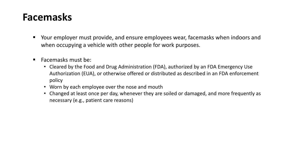#### **Facemasks**

- Your employer must provide, and ensure employees wear, facemasks when indoors and when occupying a vehicle with other people for work purposes.
- Facemasks must be:
	- Cleared by the Food and Drug Administration (FDA), authorized by an FDA Emergency Use Authorization (EUA), or otherwise offered or distributed as described in an FDA enforcement policy
	- Worn by each employee over the nose and mouth
	- Changed at least once per day, whenever they are soiled or damaged, and more frequently as necessary (e.g., patient care reasons)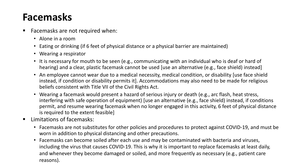#### **Facemasks**

- **Facemasks are not required when:** 
	- Alone in a room
	- Eating or drinking (if 6 feet of physical distance or a physical barrier are maintained)
	- Wearing a respirator
	- It is necessary for mouth to be seen (e.g., communicating with an individual who is deaf or hard of hearing) and a clear, plastic facemask cannot be used [use an alternative (e.g., face shield) instead]
	- An employee cannot wear due to a medical necessity, medical condition, or disability [use face shield instead, if condition or disability permits it]. Accommodations may also need to be made for religious beliefs consistent with Title VII of the Civil Rights Act.
	- Wearing a facemask would present a hazard of serious injury or death (e.g., arc flash, heat stress, interfering with safe operation of equipment) [use an alternative (e.g., face shield) instead, if conditions permit, and resume wearing facemask when no longer engaged in this activity, 6 feet of physical distance is required to the extent feasible]
- **E** Limitations of facemasks:
	- Facemasks are not substitutes for other policies and procedures to protect against COVID-19, and must be worn in addition to physical distancing and other precautions.
	- Facemasks can become soiled after each use and may be contaminated with bacteria and viruses, including the virus that causes COVID-19. This is why it is important to replace facemasks at least daily, and whenever they become damaged or soiled, and more frequently as necessary (e.g., patient care reasons).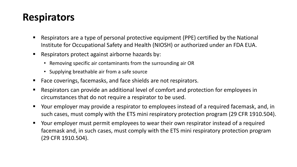#### **Respirators**

- Respirators are a type of personal protective equipment (PPE) certified by the National Institute for Occupational Safety and Health (NIOSH) or authorized under an FDA EUA.
- Respirators protect against airborne hazards by:
	- Removing specific air contaminants from the surrounding air OR
	- Supplying breathable air from a safe source
- Face coverings, facemasks, and face shields are not respirators.
- Respirators can provide an additional level of comfort and protection for employees in circumstances that do not require a respirator to be used.
- Your employer may provide a respirator to employees instead of a required facemask, and, in such cases, must comply with the ETS mini respiratory protection program (29 CFR 1910.504).
- Your employer must permit employees to wear their own respirator instead of a required facemask and, in such cases, must comply with the ETS mini respiratory protection program (29 CFR 1910.504).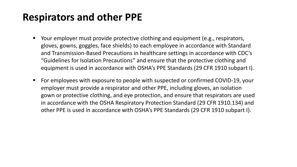#### **Respirators and other PPE**

- Your employer must provide protective clothing and equipment (e.g., respirators, gloves, gowns, goggles, face shields) to each employee in accordance with Standard and Transmission-Based Precautions in healthcare settings in accordance with CDC's "Guidelines for Isolation Precautions" and ensure that the protective clothing and equipment is used in accordance with OSHA's PPE Standards (29 CFR 1910 subpart I).
- For employees with exposure to people with suspected or confirmed COVID-19, your employer must provide a respirator and other PPE, including gloves, an isolation gown or protective clothing, and eye protection, and ensure that respirators are used in accordance with the OSHA Respiratory Protection Standard (29 CFR 1910.134) and other PPE is used in accordance with OSHA's PPE Standards (29 CFR 1910 subpart I).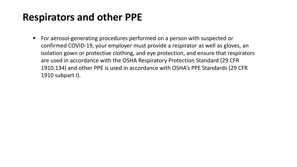#### **Respirators and other PPE**

■ For aerosol-generating procedures performed on a person with suspected or confirmed COVID-19, your employer must provide a respirator as well as gloves, an isolation gown or protective clothing, and eye protection, and ensure that respirators are used in accordance with the OSHA Respiratory Protection Standard (29 CFR 1910.134) and other PPE is used in accordance with OSHA's PPE Standards (29 CFR 1910 subpart I).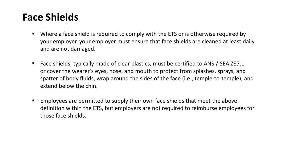#### **Face Shields**

- Where a face shield is required to comply with the ETS or is otherwise required by your employer, your employer must ensure that face shields are cleaned at least daily and are not damaged.
- Face shields, typically made of clear plastics, must be certified to ANSI/ISEA Z87.1 or cover the wearer's eyes, nose, and mouth to protect from splashes, sprays, and spatter of body fluids, wrap around the sides of the face (i.e., temple-to-temple), and extend below the chin.
- Employees are permitted to supply their own face shields that meet the above definition within the ETS, but employers are not required to reimburse employees for those face shields.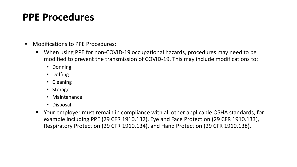#### **PPE Procedures**

- Modifications to PPE Procedures:
	- When using PPE for non-COVID-19 occupational hazards, procedures may need to be modified to prevent the transmission of COVID-19. This may include modifications to:
		- Donning
		- Doffing
		- Cleaning
		- Storage
		- Maintenance
		- Disposal
	- Your employer must remain in compliance with all other applicable OSHA standards, for example including PPE (29 CFR 1910.132), Eye and Face Protection (29 CFR 1910.133), Respiratory Protection (29 CFR 1910.134), and Hand Protection (29 CFR 1910.138).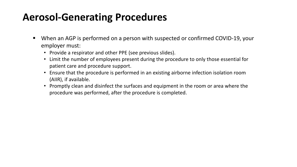#### **Aerosol-Generating Procedures**

- When an AGP is performed on a person with suspected or confirmed COVID-19, your employer must:
	- Provide a respirator and other PPE (see previous slides).
	- Limit the number of employees present during the procedure to only those essential for patient care and procedure support.
	- Ensure that the procedure is performed in an existing airborne infection isolation room (AIIR), if available.
	- Promptly clean and disinfect the surfaces and equipment in the room or area where the procedure was performed, after the procedure is completed.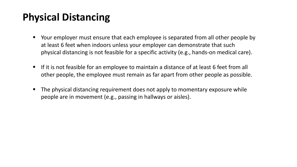# **Physical Distancing**

- Your employer must ensure that each employee is separated from all other people by at least 6 feet when indoors unless your employer can demonstrate that such physical distancing is not feasible for a specific activity (e.g., hands-on medical care).
- If it is not feasible for an employee to maintain a distance of at least 6 feet from all other people, the employee must remain as far apart from other people as possible.
- The physical distancing requirement does not apply to momentary exposure while people are in movement (e.g., passing in hallways or aisles).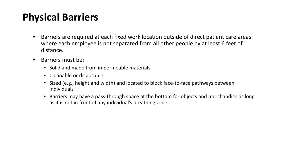# **Physical Barriers**

- Barriers are required at each fixed work location outside of direct patient care areas where each employee is not separated from all other people by at least 6 feet of distance.
- Barriers must be:
	- Solid and made from impermeable materials
	- Cleanable or disposable
	- Sized (e.g., height and width) and located to block face-to-face pathways between individuals
	- Barriers may have a pass-through space at the bottom for objects and merchandise as long as it is not in front of any individual's breathing zone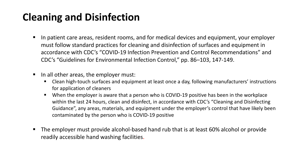# **Cleaning and Disinfection**

- In patient care areas, resident rooms, and for medical devices and equipment, your employer must follow standard practices for cleaning and disinfection of surfaces and equipment in accordance with CDC's "COVID-19 Infection Prevention and Control Recommendations" and CDC's "Guidelines for Environmental Infection Control," pp. 86–103, 147-149.
- $\blacksquare$  In all other areas, the employer must:
	- **EXT** Clean high-touch surfaces and equipment at least once a day, following manufacturers' instructions for application of cleaners
	- When the employer is aware that a person who is COVID-19 positive has been in the workplace within the last 24 hours, clean and disinfect, in accordance with CDC's "Cleaning and Disinfecting Guidance", any areas, materials, and equipment under the employer's control that have likely been contaminated by the person who is COVID-19 positive
- The employer must provide alcohol-based hand rub that is at least 60% alcohol or provide readily accessible hand washing facilities.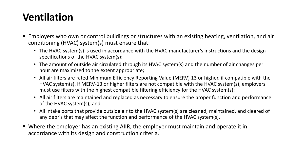# **Ventilation**

- Employers who own or control buildings or structures with an existing heating, ventilation, and air conditioning (HVAC) system(s) must ensure that:
	- The HVAC system(s) is used in accordance with the HVAC manufacturer's instructions and the design specifications of the HVAC system(s);
	- The amount of outside air circulated through its HVAC system(s) and the number of air changes per hour are maximized to the extent appropriate;
	- All air filters are rated Minimum Efficiency Reporting Value (MERV) 13 or higher, if compatible with the HVAC system(s). If MERV-13 or higher filters are not compatible with the HVAC system(s), employers must use filters with the highest compatible filtering efficiency for the HVAC system(s);
	- All air filters are maintained and replaced as necessary to ensure the proper function and performance of the HVAC system(s); and
	- All intake ports that provide outside air to the HVAC system(s) are cleaned, maintained, and cleared of any debris that may affect the function and performance of the HVAC system(s).
- Where the employer has an existing AIIR, the employer must maintain and operate it in accordance with its design and construction criteria.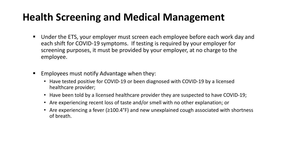# **Health Screening and Medical Management**

- Under the ETS, your employer must screen each employee before each work day and each shift for COVID-19 symptoms. If testing is required by your employer for screening purposes, it must be provided by your employer, at no charge to the employee.
- **Employees must notify Advantage when they:** 
	- Have tested positive for COVID-19 or been diagnosed with COVID-19 by a licensed healthcare provider;
	- Have been told by a licensed healthcare provider they are suspected to have COVID-19;
	- Are experiencing recent loss of taste and/or smell with no other explanation; or
	- Are experiencing a fever (≥100.4°F) and new unexplained cough associated with shortness of breath.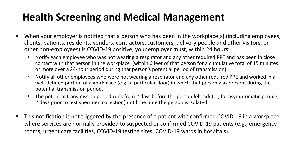# **Health Screening and Medical Management**

- When your employer is notified that a person who has been in the workplace(s) (including employees, clients, patients, residents, vendors, contractors, customers, delivery people and other visitors, or other non-employees) is COVID-19 positive, your employer must, within 24 hours:
	- Notify each employee who was not wearing a respirator and any other required PPE and has been in close contact with that person in the workplace (within 6 feet of that person for a cumulative total of 15 minutes or more over a 24-hour period during that person's potential period of transmission).
	- Notify all other employees who were not wearing a respirator and any other required PPE and worked in a well-defined portion of a workplace (e.g., a particular floor) in which that person was present during the potential transmission period.
	- The potential transmission period runs from 2 days before the person felt sick (or, for asymptomatic people, 2 days prior to test specimen collection) until the time the person is isolated.
- This notification is not triggered by the presence of a patient with confirmed COVID-19 in a workplace where services are normally provided to suspected or confirmed COVID-19 patients (e.g., emergency rooms, urgent care facilities, COVID-19 testing sites, COVID-19 wards in hospitals).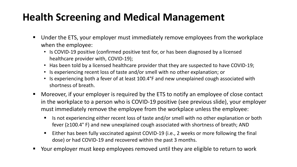# **Health Screening and Medical Management**

- Under the ETS, your employer must immediately remove employees from the workplace when the employee:
	- Is COVID-19 positive (confirmed positive test for, or has been diagnosed by a licensed healthcare provider with, COVID-19);
	- Has been told by a licensed healthcare provider that they are suspected to have COVID-19;
	- Is experiencing recent loss of taste and/or smell with no other explanation; or
	- Is experiencing both a fever of at least 100.4°F and new unexplained cough associated with shortness of breath.
- Moreover, if your employer is required by the ETS to notify an employee of close contact in the workplace to a person who is COVID-19 positive (see previous slide), your employer must immediately remove the employee from the workplace unless the employee:
	- Is not experiencing either recent loss of taste and/or smell with no other explanation or both fever (≥100.4° F) and new unexplained cough associated with shortness of breath; AND
	- Either has been fully vaccinated against COVID-19 (i.e., 2 weeks or more following the final dose) or had COVID-19 and recovered within the past 3 months.
- Your employer must keep employees removed until they are eligible to return to work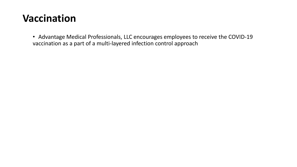#### **Vaccination**

• Advantage Medical Professionals, LLC encourages employees to receive the COVID-19 vaccination as a part of a multi-layered infection control approach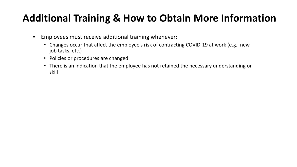# **Additional Training & How to Obtain More Information**

- **Employees must receive additional training whenever:** 
	- Changes occur that affect the employee's risk of contracting COVID-19 at work (e.g., new job tasks, etc.)
	- Policies or procedures are changed
	- There is an indication that the employee has not retained the necessary understanding or skill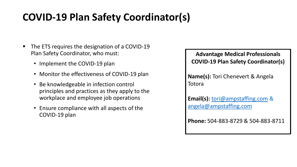# **COVID-19 Plan Safety Coordinator(s)**

- The ETS requires the designation of a COVID-19 Plan Safety Coordinator, who must:
	- Implement the COVID-19 plan
	- Monitor the effectiveness of COVID-19 plan
	- Be knowledgeable in infection control principles and practices as they apply to the workplace and employee job operations
	- Ensure compliance with all aspects of the COVID-19 plan

#### **Advantage Medical Professionals COVID-19 Plan Safety Coordinator(s)**

**Name(s):** Tori Chenevert & Angela Totora

**Email(s):** [tori@ampstaffing.com](mailto:tori@ampstaffing.com) & [angela@ampstaffing.com](mailto:angela@ampstaffing.com)

**Phone:** 504-883-8729 & 504-883-8711